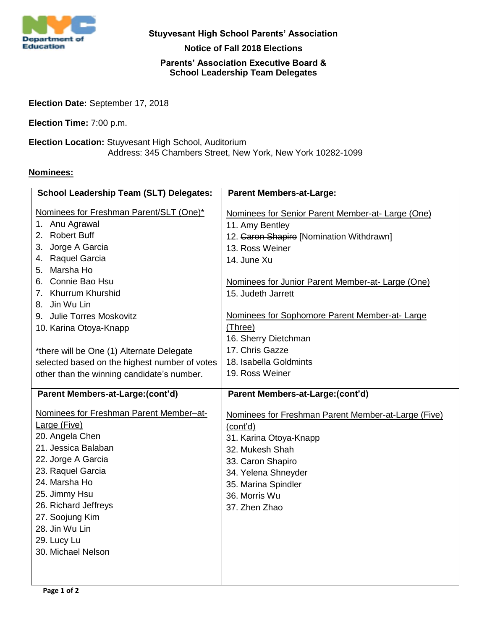

**Stuyvesant High School Parents' Association**

**Notice of Fall 2018 Elections**

## **Parents' Association Executive Board & School Leadership Team Delegates**

**Election Date:** September 17, 2018

**Election Time:** 7:00 p.m.

**Election Location:** Stuyvesant High School, Auditorium Address: 345 Chambers Street, New York, New York 10282-1099

## **Nominees:**

| <b>School Leadership Team (SLT) Delegates:</b>                                                                                                                                                                                                                                   | <b>Parent Members-at-Large:</b>                                                                                                                                                                                   |
|----------------------------------------------------------------------------------------------------------------------------------------------------------------------------------------------------------------------------------------------------------------------------------|-------------------------------------------------------------------------------------------------------------------------------------------------------------------------------------------------------------------|
| Nominees for Freshman Parent/SLT (One)*<br>1. Anu Agrawal<br>2. Robert Buff<br>3. Jorge A Garcia                                                                                                                                                                                 | Nominees for Senior Parent Member-at- Large (One)<br>11. Amy Bentley<br>12. Garon Shapiro [Nomination Withdrawn]<br>13. Ross Weiner                                                                               |
| 4. Raquel Garcia                                                                                                                                                                                                                                                                 | 14. June Xu                                                                                                                                                                                                       |
| 5. Marsha Ho                                                                                                                                                                                                                                                                     |                                                                                                                                                                                                                   |
| 6. Connie Bao Hsu<br>7. Khurrum Khurshid                                                                                                                                                                                                                                         | Nominees for Junior Parent Member-at- Large (One)                                                                                                                                                                 |
| 8. Jin Wu Lin                                                                                                                                                                                                                                                                    | 15. Judeth Jarrett                                                                                                                                                                                                |
| 9. Julie Torres Moskovitz                                                                                                                                                                                                                                                        | Nominees for Sophomore Parent Member-at-Large                                                                                                                                                                     |
| 10. Karina Otoya-Knapp                                                                                                                                                                                                                                                           | (Three)                                                                                                                                                                                                           |
|                                                                                                                                                                                                                                                                                  | 16. Sherry Dietchman                                                                                                                                                                                              |
| *there will be One (1) Alternate Delegate                                                                                                                                                                                                                                        | 17. Chris Gazze                                                                                                                                                                                                   |
| selected based on the highest number of votes                                                                                                                                                                                                                                    | 18. Isabella Goldmints                                                                                                                                                                                            |
| other than the winning candidate's number.                                                                                                                                                                                                                                       | 19. Ross Weiner                                                                                                                                                                                                   |
|                                                                                                                                                                                                                                                                                  |                                                                                                                                                                                                                   |
|                                                                                                                                                                                                                                                                                  |                                                                                                                                                                                                                   |
| Parent Members-at-Large:(cont'd)                                                                                                                                                                                                                                                 | Parent Members-at-Large:(cont'd)                                                                                                                                                                                  |
| Nominees for Freshman Parent Member-at-<br>Large (Five)<br>20. Angela Chen<br>21. Jessica Balaban<br>22. Jorge A Garcia<br>23. Raquel Garcia<br>24. Marsha Ho<br>25. Jimmy Hsu<br>26. Richard Jeffreys<br>27. Soojung Kim<br>28. Jin Wu Lin<br>29. Lucy Lu<br>30. Michael Nelson | Nominees for Freshman Parent Member-at-Large (Five)<br>(cont'd)<br>31. Karina Otoya-Knapp<br>32. Mukesh Shah<br>33. Caron Shapiro<br>34. Yelena Shneyder<br>35. Marina Spindler<br>36. Morris Wu<br>37. Zhen Zhao |